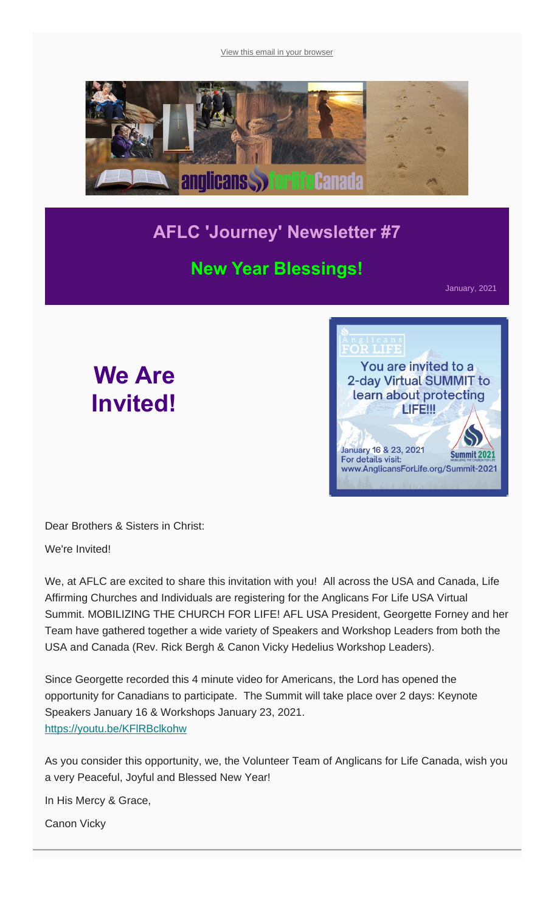[View this email in your browser](https://mailchi.mp/9fdd04b6c870/aflc-journey-newsletter-7?e=fcadea62e9)



# **AFLC 'Journey' Newsletter #7**

## **New Year Blessings!**

January, 2021

# **We Are Invited!**

You are invited to a 2-day Virtual SUMMIT to learn about protecting LIFE !!! January 16 & 23, 2021 **Summit 2021** For details visit: www.AnglicansForLife.org/Summit-2021

T.TEE

Dear Brothers & Sisters in Christ:

We're Invited!

We, at AFLC are excited to share this invitation with you! All across the USA and Canada, Life Affirming Churches and Individuals are registering for the Anglicans For Life USA Virtual Summit. MOBILIZING THE CHURCH FOR LIFE! AFL USA President, Georgette Forney and her Team have gathered together a wide variety of Speakers and Workshop Leaders from both the USA and Canada (Rev. Rick Bergh & Canon Vicky Hedelius Workshop Leaders).

Since Georgette recorded this 4 minute video for Americans, the Lord has opened the opportunity for Canadians to participate. The Summit will take place over 2 days: Keynote Speakers January 16 & Workshops January 23, 2021. <https://youtu.be/KFlRBclkohw>

As you consider this opportunity, we, the Volunteer Team of Anglicans for Life Canada, wish you a very Peaceful, Joyful and Blessed New Year!

In His Mercy & Grace,

Canon Vicky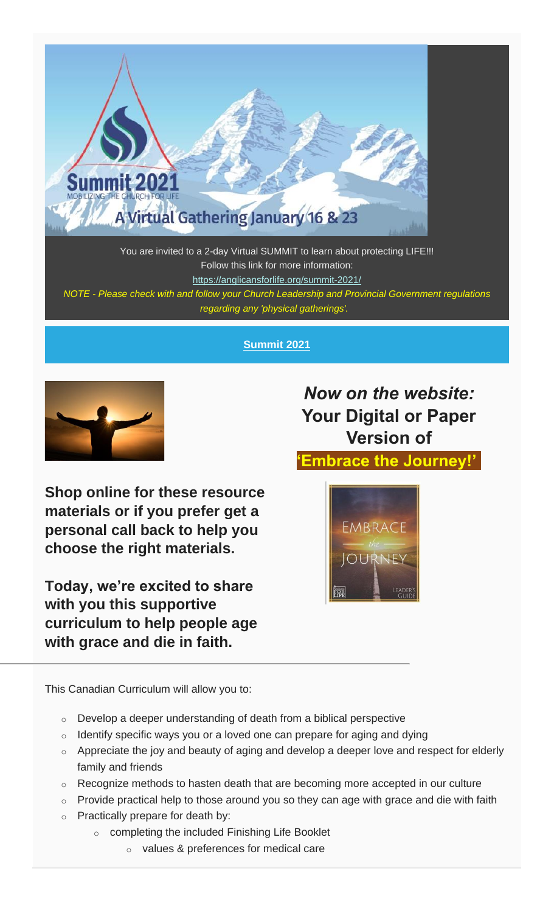

You are invited to a 2-day Virtual SUMMIT to learn about protecting LIFE!!! Follow this link for more information: <https://anglicansforlife.org/summit-2021/> *NOTE - Please check with and follow your Church Leadership and Provincial Government regulations regarding any 'physical gatherings'.*

#### **Summit 2021**



**Shop online for these resource materials or if you prefer get a personal call back to help you choose the right materials.**

**Today, we're excited to share with you this supportive curriculum to help people age with grace and die in faith.**

*Now on the website:* **Your Digital or Paper Version of**

**'Embrace the Journey!'**



This Canadian Curriculum will allow you to:

- $\circ$  Develop a deeper understanding of death from a biblical perspective
- $\circ$  Identify specific ways you or a loved one can prepare for aging and dying
- $\circ$  Appreciate the joy and beauty of aging and develop a deeper love and respect for elderly family and friends
- o Recognize methods to hasten death that are becoming more accepted in our culture
- $\circ$  Provide practical help to those around you so they can age with grace and die with faith
- $\circ$  Practically prepare for death by:
	- o completing the included Finishing Life Booklet
		- o values & preferences for medical care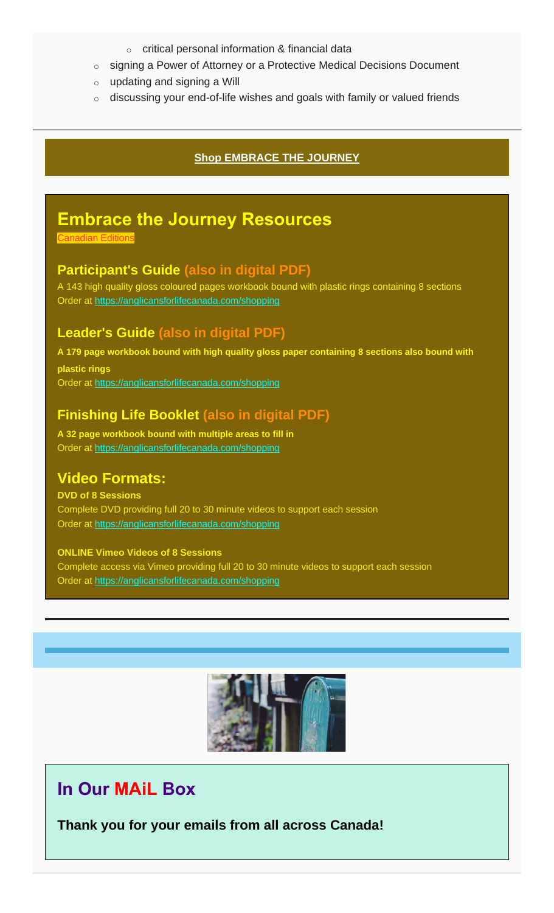- o critical personal information & financial data
- o signing a Power of Attorney or a Protective Medical Decisions Document
- $\circ$  updating and signing a Will
- $\circ$  discussing your end-of-life wishes and goals with family or valued friends

#### **[Shop EMBRACE THE JOURNEY](https://www.anglicansforlifecanada.com/shopping/)**

### **Embrace the Journey Resources**

Canadian Editions

#### **Participant's Guide (also in digital PDF)**

A 143 high quality gloss coloured pages workbook bound with plastic rings containing 8 sections Order at [https://anglicansforlifecanada.com/shopping](https://www.anglicansforlifecanada.com/shopping/)

#### **Leader's Guide (also in digital PDF)**

**A 179 page workbook bound with high quality gloss paper containing 8 sections also bound with plastic rings** Order at [https://anglicansforlifecanada.com/shopping](https://www.anglicansforlifecanada.com/shopping/)

#### **Finishing Life Booklet (also in digital PDF)**

**A 32 page workbook bound with multiple areas to fill in** Order at [https://anglicansforlifecanada.com/shopping](https://www.anglicansforlifecanada.com/shopping/)

#### **Video Formats:**

**DVD of 8 Sessions** Complete DVD providing full 20 to 30 minute videos to support each session Order at [https://anglicansforlifecanada.com/shopping](https://www.anglicansforlifecanada.com/shopping/)

**ONLINE Vimeo Videos of 8 Sessions** Complete access via Vimeo providing full 20 to 30 minute videos to support each session Order at [https://anglicansforlifecanada.com/shopping](https://www.anglicansforlifecanada.com/shopping/)



### **In Our MAiL Box**

**Thank you for your emails from all across Canada!**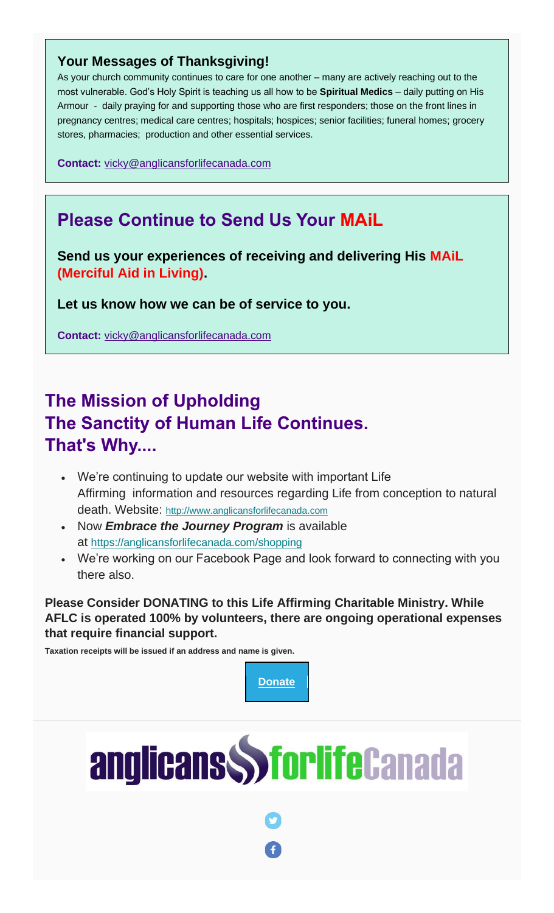#### **Your Messages of Thanksgiving!**

As your church community continues to care for one another – many are actively reaching out to the most vulnerable. God's Holy Spirit is teaching us all how to be **Spiritual Medics** – daily putting on His Armour - daily praying for and supporting those who are first responders; those on the front lines in pregnancy centres; medical care centres; hospitals; hospices; senior facilities; funeral homes; grocery stores, pharmacies; production and other essential services.

**Contact:** [vicky@anglicansforlifecanada.com](mailto:vicky@anglicansforlifecanada.com)

# **Please Continue to Send Us Your MAiL**

**Send us your experiences of receiving and delivering His MAiL (Merciful Aid in Living).**

**Let us know how we can be of service to you.**

**Contact:** [vicky@anglicansforlifecanada.com](mailto:vicky@anglicansforlifecanada.com)

# **The Mission of Upholding The Sanctity of Human Life Continues. That's Why....**

- We're continuing to update our website with important Life Affirming information and resources regarding Life from conception to natural death. Website: [http://www.anglicansforlifecanada.com](http://www.anglicansforlifecanada.com/)
- Now *Embrace the Journey Program* is available at [https://anglicansforlifecanada.com/shopping](https://www.anglicansforlifecanada.com/shopping/)
- We're working on our Facebook Page and look forward to connecting with you there also.

**Please Consider DONATING to this Life Affirming Charitable Ministry. While AFLC is operated 100% by volunteers, there are ongoing operational expenses that require financial support.**

**Taxation receipts will be issued if an address and name is given.**